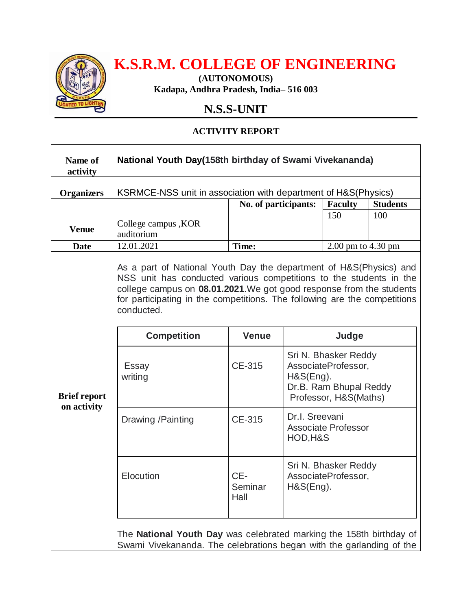

# **K.S.R.M. COLLEGE OF ENGINEERING**

**(AUTONOMOUS) Kadapa, Andhra Pradesh, India– 516 003**

## **N.S.S-UNIT**

### **ACTIVITY REPORT**

| Name of<br>activity                | National Youth Day(158th birthday of Swami Vivekananda)                                                                                                                                                                                                                                                     |                        |                                                                                                             |                    |                 |
|------------------------------------|-------------------------------------------------------------------------------------------------------------------------------------------------------------------------------------------------------------------------------------------------------------------------------------------------------------|------------------------|-------------------------------------------------------------------------------------------------------------|--------------------|-----------------|
| <b>Organizers</b>                  | KSRMCE-NSS unit in association with department of H&S(Physics)                                                                                                                                                                                                                                              |                        |                                                                                                             |                    |                 |
|                                    |                                                                                                                                                                                                                                                                                                             | No. of participants:   |                                                                                                             | <b>Faculty</b>     | <b>Students</b> |
| <b>Venue</b>                       | College campus, KOR<br>auditorium                                                                                                                                                                                                                                                                           |                        |                                                                                                             | 150                | 100             |
| <b>Date</b>                        | 12.01.2021                                                                                                                                                                                                                                                                                                  | Time:                  |                                                                                                             | 2.00 pm to 4.30 pm |                 |
|                                    | As a part of National Youth Day the department of H&S(Physics) and<br>NSS unit has conducted various competitions to the students in the<br>college campus on 08.01.2021. We got good response from the students<br>for participating in the competitions. The following are the competitions<br>conducted. |                        |                                                                                                             |                    |                 |
| <b>Brief report</b><br>on activity | <b>Competition</b>                                                                                                                                                                                                                                                                                          | <b>Venue</b>           | Judge                                                                                                       |                    |                 |
|                                    | Essay<br>writing                                                                                                                                                                                                                                                                                            | CE-315                 | Sri N. Bhasker Reddy<br>AssociateProfessor,<br>H&S(Eng).<br>Dr.B. Ram Bhupal Reddy<br>Professor, H&S(Maths) |                    |                 |
|                                    | Drawing / Painting                                                                                                                                                                                                                                                                                          | CE-315                 | Dr.I. Sreevani<br><b>Associate Professor</b><br>HOD, H&S                                                    |                    |                 |
|                                    | Elocution                                                                                                                                                                                                                                                                                                   | CE-<br>Seminar<br>Hall | Sri N. Bhasker Reddy<br>AssociateProfessor,<br>H&S(Eng).                                                    |                    |                 |
|                                    | The National Youth Day was celebrated marking the 158th birthday of<br>Swami Vivekananda. The celebrations began with the garlanding of the                                                                                                                                                                 |                        |                                                                                                             |                    |                 |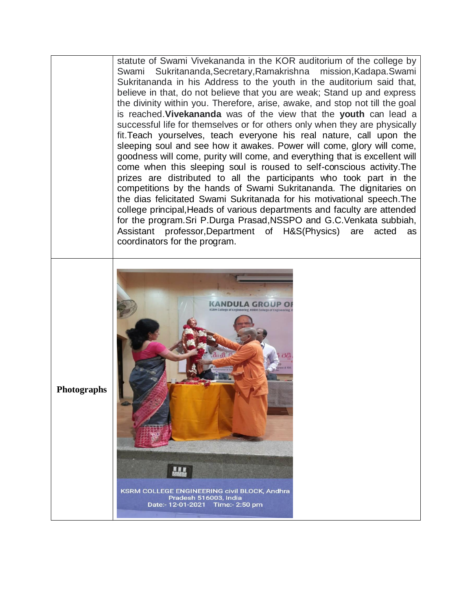statute of Swami Vivekananda in the KOR auditorium of the college by Swami Sukritananda,Secretary,Ramakrishna mission,Kadapa.Swami Sukritananda in his Address to the youth in the auditorium said that, believe in that, do not believe that you are weak; Stand up and express the divinity within you. Therefore, arise, awake, and stop not till the goal is reached.**Vivekananda** was of the view that the **youth** can lead a successful life for themselves or for others only when they are physically fit.Teach yourselves, teach everyone his real nature, call upon the sleeping soul and see how it awakes. Power will come, glory will come, goodness will come, purity will come, and everything that is excellent will come when this sleeping soul is roused to self-conscious activity.The prizes are distributed to all the participants who took part in the competitions by the hands of Swami Sukritananda. The dignitaries on the dias felicitated Swami Sukritanada for his motivational speech.The college principal,Heads of various departments and faculty are attended for the program.Sri P.Durga Prasad,NSSPO and G.C.Venkata subbiah, Assistant professor,Department of H&S(Physics) are acted as coordinators for the program. **KANDULA GROUP OF** 

**Photographs**

KSRM COLLEGE ENGINEERING civil BLOCK, Andhra Pradesh 516003, India Date:- 12-01-2021 Time:- 2:50 pm

**KRA**